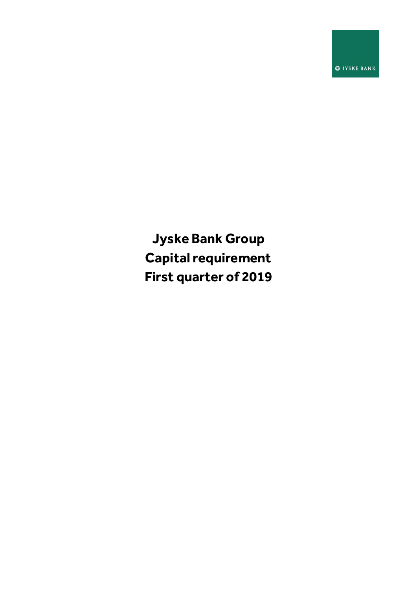**O** JYSKE BANK

**Jyske Bank Group Capital requirement First quarter of 2019**